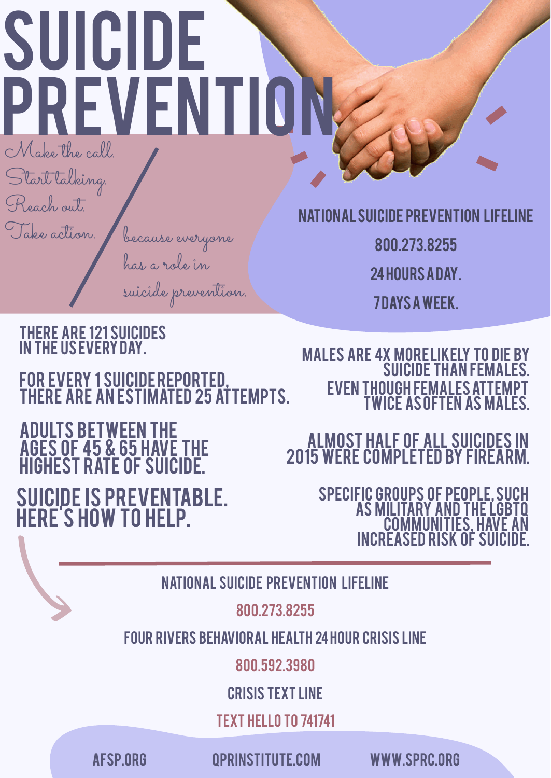# SUICIDE PREVENTIO

Make the call.

Start talking.

Reach out.

Take action.

800.273.8255

24hoursaday.

7Daysaweek.

#### Adults between the ages of 45 & 65 have the **HIGHEST RATE OF SUICIDE.**

because everyone has a role in

#### NATIONAL SUICIDE PREVENTION



#### There are 121 suicides In the US every Day.

#### For every 1 suicidereported, there are an estimated 25 attempts.

## Suicide is preventable. Here's how to help.

#### Almost half of all suicides in 2015 were completed by firearm.

Specific groups of people, such as military and the LGBTQ communities, have an increased RISK of suicide.



#### Males are 4X more likely to die by SUICIDE THAN FEMALES. even though females attempt twice as often As males.

#### National Suicide Prevention Lifeline

#### 800.273.8255

#### FOUR RIVERS BEHAVIORAL HEALTH 24hour Crisis line

800.592.3980

#### Crisis Text Line

Text HELLO to 741741



[afsp.org](https://afsp.org/) [qprinstitute.com](https://qprinstitute.com/) [www.sprc.org](http://www.sprc.org/)